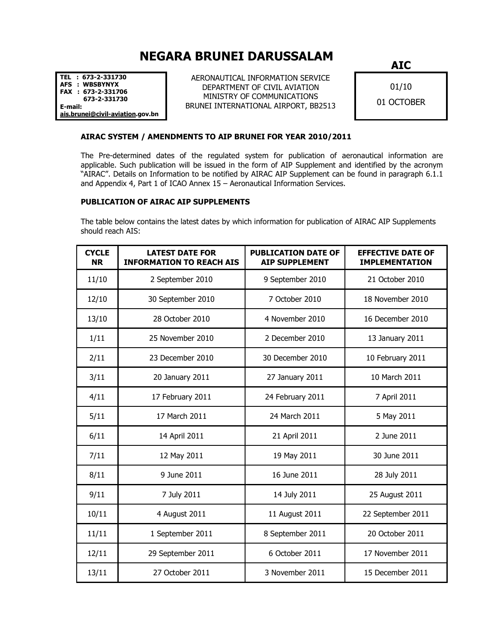## NEGARA BRUNEI DARUSSALAM

TEL : 673-2-331730 AFS : WBSBYNYX FAX : 673-2-331706 673-2-331730 E-mail: ais.brunei@civil-aviation.gov.bn

AERONAUTICAL INFORMATION SERVICE DEPARTMENT OF CIVIL AVIATION MINISTRY OF COMMUNICATIONS BRUNEI INTERNATIONAL AIRPORT, BB2513 AIC

01/10 01 OCTOBER

## AIRAC SYSTEM / AMENDMENTS TO AIP BRUNEI FOR YEAR 2010/2011

The Pre-determined dates of the regulated system for publication of aeronautical information are applicable. Such publication will be issued in the form of AIP Supplement and identified by the acronym "AIRAC". Details on Information to be notified by AIRAC AIP Supplement can be found in paragraph 6.1.1 and Appendix 4, Part 1 of ICAO Annex 15 – Aeronautical Information Services.

## PUBLICATION OF AIRAC AIP SUPPLEMENTS

The table below contains the latest dates by which information for publication of AIRAC AIP Supplements should reach AIS:

| <b>CYCLE</b><br><b>NR</b> | <b>LATEST DATE FOR</b><br><b>INFORMATION TO REACH AIS</b> | <b>PUBLICATION DATE OF</b><br><b>AIP SUPPLEMENT</b> | <b>EFFECTIVE DATE OF</b><br><b>IMPLEMENTATION</b> |
|---------------------------|-----------------------------------------------------------|-----------------------------------------------------|---------------------------------------------------|
| 11/10                     | 2 September 2010                                          | 9 September 2010                                    | 21 October 2010                                   |
| 12/10                     | 30 September 2010                                         | 7 October 2010                                      | 18 November 2010                                  |
| 13/10                     | 28 October 2010                                           | 4 November 2010                                     | 16 December 2010                                  |
| 1/11                      | 25 November 2010                                          | 2 December 2010                                     | 13 January 2011                                   |
| 2/11                      | 23 December 2010                                          | 30 December 2010                                    | 10 February 2011                                  |
| 3/11                      | 20 January 2011                                           | 27 January 2011                                     | 10 March 2011                                     |
| 4/11                      | 17 February 2011                                          | 24 February 2011                                    | 7 April 2011                                      |
| 5/11                      | 17 March 2011                                             | 24 March 2011                                       | 5 May 2011                                        |
| 6/11                      | 14 April 2011                                             | 21 April 2011                                       | 2 June 2011                                       |
| 7/11                      | 12 May 2011                                               | 19 May 2011                                         | 30 June 2011                                      |
| 8/11                      | 9 June 2011                                               | 16 June 2011                                        | 28 July 2011                                      |
| 9/11                      | 7 July 2011                                               | 14 July 2011                                        | 25 August 2011                                    |
| 10/11                     | 4 August 2011                                             | 11 August 2011                                      | 22 September 2011                                 |
| 11/11                     | 1 September 2011                                          | 8 September 2011                                    | 20 October 2011                                   |
| 12/11                     | 29 September 2011                                         | 6 October 2011                                      | 17 November 2011                                  |
| 13/11                     | 27 October 2011                                           | 3 November 2011                                     | 15 December 2011                                  |